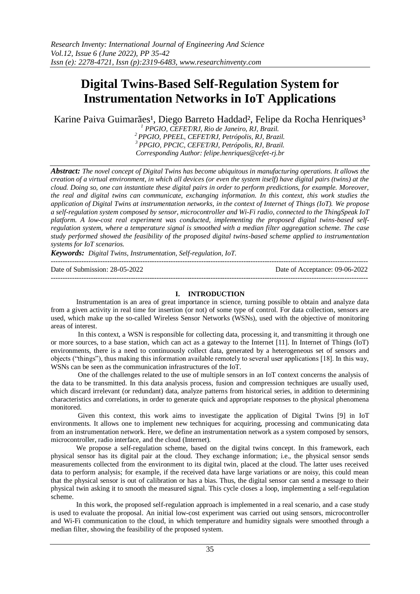# **Digital Twins-Based Self-Regulation System for Instrumentation Networks in IoT Applications**

Karine Paiva Guimarães<sup>1</sup>, Diego Barreto Haddad<sup>2</sup>, Felipe da Rocha Henriques<sup>3</sup>

 *PPGIO, CEFET/RJ, Rio de Janeiro, RJ, Brazil. PPGIO, PPEEL, CEFET/RJ, Petrópolis, RJ, Brazil. PPGIO, PPCIC, CEFET/RJ, Petrópolis, RJ, Brazil. Corresponding Author: felipe.henriques@cefet-rj.br*

*Abstract: The novel concept of Digital Twins has become ubiquitous in manufacturing operations. It allows the creation of a virtual environment, in which all devices (or even the system itself) have digital pairs (twins) at the cloud. Doing so, one can instantiate these digital pairs in order to perform predictions, for example. Moreover, the real and digital twins can communicate, exchanging information. In this context, this work studies the application of Digital Twins at instrumentation networks, in the context of Internet of Things (IoT). We propose a self-regulation system composed by sensor, microcontroller and Wi-Fi radio, connected to the ThingSpeak IoT platform. A low-cost real experiment was conducted, implementing the proposed digital twins-based selfregulation system, where a temperature signal is smoothed with a median filter aggregation scheme. The case study performed showed the feasibility of the proposed digital twins-based scheme applied to instrumentation systems for IoT scenarios.*

*Keywords: Digital Twins, Instrumentation, Self-regulation, IoT.*

| Date of Submission: 28-05-2022 | Date of Acceptance: 09-06-2022 |
|--------------------------------|--------------------------------|
|                                |                                |

# **I. INTRODUCTION**

Instrumentation is an area of great importance in science, turning possible to obtain and analyze data from a given activity in real time for insertion (or not) of some type of control. For data collection, sensors are used, which make up the so-called Wireless Sensor Networks (WSNs), used with the objective of monitoring areas of interest.

In this context, a WSN is responsible for collecting data, processing it, and transmitting it through one or more sources, to a base station, which can act as a gateway to the Internet [11]. In Internet of Things (IoT) environments, there is a need to continuously collect data, generated by a heterogeneous set of sensors and objects ("things"), thus making this information available remotely to several user applications [18]. In this way, WSNs can be seen as the communication infrastructures of the IoT.

One of the challenges related to the use of multiple sensors in an IoT context concerns the analysis of the data to be transmitted. In this data analysis process, fusion and compression techniques are usually used, which discard irrelevant (or redundant) data, analyze patterns from historical series, in addition to determining characteristics and correlations, in order to generate quick and appropriate responses to the physical phenomena monitored.

Given this context, this work aims to investigate the application of Digital Twins [9] in IoT environments. It allows one to implement new techniques for acquiring, processing and communicating data from an instrumentation network. Here, we define an instrumentation network as a system composed by sensors, microcontroller, radio interface, and the cloud (Internet).

We propose a self-regulation scheme, based on the digital twins concept. In this framework, each physical sensor has its digital pair at the cloud. They exchange information; i.e., the physical sensor sends measurements collected from the environment to its digital twin, placed at the cloud. The latter uses received data to perform analysis; for example, if the received data have large variations or are noisy, this could mean that the physical sensor is out of calibration or has a bias. Thus, the digital sensor can send a message to their physical twin asking it to smooth the measured signal. This cycle closes a loop, implementing a self-regulation scheme.

In this work, the proposed self-regulation approach is implemented in a real scenario, and a case study is used to evaluate the proposal. An initial low-cost experiment was carried out using sensors, microcontroller and Wi-Fi communication to the cloud, in which temperature and humidity signals were smoothed through a median filter, showing the feasibility of the proposed system.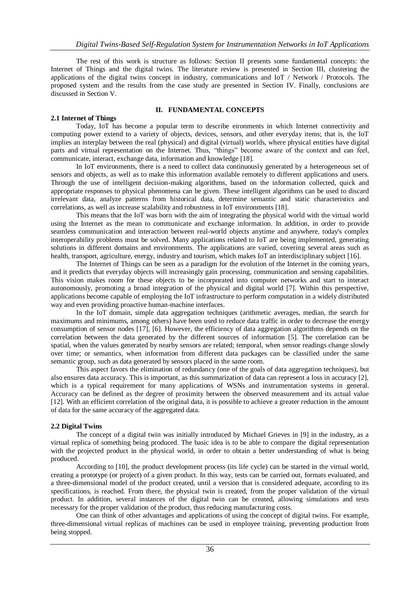The rest of this work is structure as follows: Section II presents some fundamental concepts: the Internet of Things and the digital twins. The literature review is presented in Section III, clustering the applications of the digital twins concept in industry, communications and IoT / Network / Protocols. The proposed system and the results from the case study are presented in Section IV. Finally, conclusions are discussed in Section V.

## **II. FUNDAMENTAL CONCEPTS**

## **2.1 Internet of Things**

Today, IoT has become a popular term to describe eironments in which Internet connectivity and computing power extend to a variety of objects, devices, sensors, and other everyday items; that is, the IoT implies an interplay between the real (physical) and digital (virtual) worlds, where physical entities have digital parts and virtual representation on the Internet. Thus, "things" become aware of the context and can feel, communicate, interact, exchange data, information and knowledge [18].

In IoT environments, there is a need to collect data continuously generated by a heterogeneous set of sensors and objects, as well as to make this information available remotely to different applications and users. Through the use of intelligent decision-making algorithms, based on the information collected, quick and appropriate responses to physical phenomena can be given. These intelligent algorithms can be used to discard irrelevant data, analyze patterns from historical data, determine semantic and static characteristics and correlations, as well as increase scalability and robustness in IoT environments [18].

This means that the IoT was born with the aim of integrating the physical world with the virtual world using the Internet as the mean to communicate and exchange information. In addition, in order to provide seamless communication and interaction between real-world objects anytime and anywhere, today's complex interoperability problems must be solved. Many applications related to IoT are being implemented, generating solutions in different domains and environments. The applications are varied, covering several areas such as health, transport, agriculture, energy, industry and tourism, which makes IoT an interdisciplinary subject [16].

The Internet of Things can be seen as a paradigm for the evolution of the Internet in the coming years, and it predicts that everyday objects will increasingly gain processing, communication and sensing capabilities. This vision makes room for these objects to be incorporated into computer networks and start to interact autonomously, promoting a broad integration of the physical and digital world [7]. Within this perspective, applications become capable of employing the IoT infrastructure to perform computation in a widely distributed way and even providing proactive human-machine interfaces.

In the IoT domain, simple data aggregation techniques (arithmetic averages, median, the search for maximums and minimums, among others) have been used to reduce data traffic in order to decrease the energy consumption of sensor nodes [17], [6]. However, the efficiency of data aggregation algorithms depends on the correlation between the data generated by the different sources of information [5]. The correlation can be spatial, when the values generated by nearby sensors are related; temporal, when sensor readings change slowly over time; or semantics, when information from different data packages can be classified under the same semantic group, such as data generated by sensors placed in the same room.

This aspect favors the elimination of redundancy (one of the goals of data aggregation techniques), but also ensures data accuracy. This is important, as this summarization of data can represent a loss in accuracy [2], which is a typical requirement for many applications of WSNs and instrumentation systems in general. Accuracy can be defined as the degree of proximity between the observed measurement and its actual value [12]. With an efficient correlation of the original data, it is possible to achieve a greater reduction in the amount of data for the same accuracy of the aggregated data.

## **2.2 Digital Twins**

The concept of a digital twin was initially introduced by Michael Grieves in [9] in the industry, as a virtual replica of something being produced. The basic idea is to be able to compare the digital representation with the projected product in the physical world, in order to obtain a better understanding of what is being produced.

According to [10], the product development process (its life cycle) can be started in the virtual world, creating a prototype (or project) of a given product. In this way, tests can be carried out, formats evaluated, and a three-dimensional model of the product created, until a version that is considered adequate, according to its specifications, is reached. From there, the physical twin is created, from the proper validation of the virtual product. In addition, several instances of the digital twin can be created, allowing simulations and tests necessary for the proper validation of the product, thus reducing manufacturing costs.

One can think of other advantages and applications of using the concept of digital twins. For example, three-dimensional virtual replicas of machines can be used in employee training, preventing production from being stopped.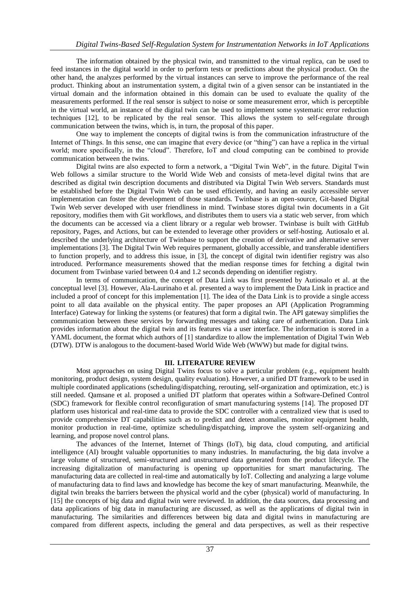The information obtained by the physical twin, and transmitted to the virtual replica, can be used to feed instances in the digital world in order to perform tests or predictions about the physical product. On the other hand, the analyzes performed by the virtual instances can serve to improve the performance of the real product. Thinking about an instrumentation system, a digital twin of a given sensor can be instantiated in the virtual domain and the information obtained in this domain can be used to evaluate the quality of the measurements performed. If the real sensor is subject to noise or some measurement error, which is perceptible in the virtual world, an instance of the digital twin can be used to implement some systematic error reduction techniques [12], to be replicated by the real sensor. This allows the system to self-regulate through communication between the twins, which is, in turn, the proposal of this paper.

One way to implement the concepts of digital twins is from the communication infrastructure of the Internet of Things. In this sense, one can imagine that every device (or "thing") can have a replica in the virtual world; more specifically, in the "cloud". Therefore, IoT and cloud computing can be combined to provide communication between the twins.

Digital twins are also expected to form a network, a "Digital Twin Web", in the future. Digital Twin Web follows a similar structure to the World Wide Web and consists of meta-level digital twins that are described as digital twin description documents and distributed via Digital Twin Web servers. Standards must be established before the Digital Twin Web can be used efficiently, and having an easily accessible server implementation can foster the development of those standards. Twinbase is an open-source, Git-based Digital Twin Web server developed with user friendliness in mind. Twinbase stores digital twin documents in a Git repository, modifies them with Git workflows, and distributes them to users via a static web server, from which the documents can be accessed via a client library or a regular web browser. Twinbase is built with GitHub repository, Pages, and Actions, but can be extended to leverage other providers or self-hosting. Autiosalo et al. described the underlying architecture of Twinbase to support the creation of derivative and alternative server implementations [3]. The Digital Twin Web requires permanent, globally accessible, and transferable identifiers to function properly, and to address this issue, in [3], the concept of digital twin identifier registry was also introduced. Performance measurements showed that the median response times for fetching a digital twin document from Twinbase varied between 0.4 and 1.2 seconds depending on identifier registry.

In terms of communication, the concept of Data Link was first presented by Autiosalo et al. at the conceptual level [3]. However, Ala-Laurinaho et al. presented a way to implement the Data Link in practice and included a proof of concept for this implementation [1]. The idea of the Data Link is to provide a single access point to all data available on the physical entity. The paper proposes an API (Application Programming Interface) Gateway for linking the systems (or features) that form a digital twin. The API gateway simplifies the communication between these services by forwarding messages and taking care of authentication. Data Link provides information about the digital twin and its features via a user interface. The information is stored in a YAML document, the format which authors of [1] standardize to allow the implementation of Digital Twin Web (DTW). DTW is analogous to the document-based World Wide Web (WWW) but made for digital twins.

# **III. LITERATURE REVIEW**

Most approaches on using Digital Twins focus to solve a particular problem (e.g., equipment health monitoring, product design, system design, quality evaluation). However, a unified DT framework to be used in multiple coordinated applications (scheduling/dispatching, rerouting, self-organization and optimization, etc.) is still needed. Qamsane et al. proposed a unified DT platform that operates within a Software-Defined Control (SDC) framework for flexible control reconfiguration of smart manufacturing systems [14]. The proposed DT platform uses historical and real-time data to provide the SDC controller with a centralized view that is used to provide comprehensive DT capabilities such as to predict and detect anomalies, monitor equipment health, monitor production in real-time, optimize scheduling/dispatching, improve the system self-organizing and learning, and propose novel control plans.

The advances of the Internet, Internet of Things (IoT), big data, cloud computing, and artificial intelligence (AI) brought valuable opportunities to many industries. In manufacturing, the big data involve a large volume of structured, semi-structured and unstructured data generated from the product lifecycle. The increasing digitalization of manufacturing is opening up opportunities for smart manufacturing. The manufacturing data are collected in real-time and automatically by IoT. Collecting and analyzing a large volume of manufacturing data to find laws and knowledge has become the key of smart manufacturing. Meanwhile, the digital twin breaks the barriers between the physical world and the cyber (physical) world of manufacturing. In [15] the concepts of big data and digital twin were reviewed. In addition, the data sources, data processing and data applications of big data in manufacturing are discussed, as well as the applications of digital twin in manufacturing. The similarities and differences between big data and digital twins in manufacturing are compared from different aspects, including the general and data perspectives, as well as their respective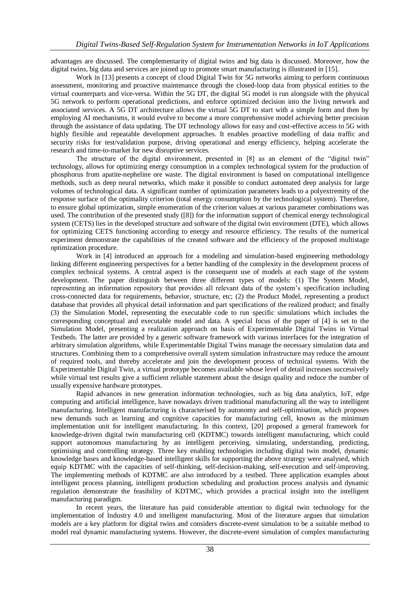advantages are discussed. The complementarity of digital twins and big data is discussed. Moreover, how the digital twins, big data and services are joined up to promote smart manufacturing is illustrated in [15].

Work in [13] presents a concept of cloud Digital Twin for 5G networks aiming to perform continuous assessment, monitoring and proactive maintenance through the closed-loop data from physical entities to the virtual counterparts and vice-versa. Within the 5G DT, the digital 5G model is run alongside with the physical 5G network to perform operational predictions, and enforce optimized decision into the living network and associated services. A 5G DT architecture allows the virtual 5G DT to start with a simple form and then by employing AI mechanisms, it would evolve to become a more comprehensive model achieving better precision through the assistance of data updating. The DT technology allows for easy and cost-effective access to 5G with highly flexible and repeatable development approaches. It enables proactive modelling of data traffic and security risks for test/validation purpose, driving operational and energy efficiency, helping accelerate the research and time-to-market for new disruptive services.

The structure of the digital environment, presented in [8] as an element of the "digital twin" technology, allows for optimizing energy consumption in a complex technological system for the production of phosphorus from apatite-nepheline ore waste. The digital environment is based on computational intelligence methods, such as deep neural networks, which make it possible to conduct automated deep analysis for large volumes of technological data. A significant number of optimization parameters leads to a polyextremity of the response surface of the optimality criterion (total energy consumption by the technological system). Therefore, to ensure global optimization, simple enumeration of the criterion values at various parameter combinations was used. The contribution of the presented study ([8]) for the information support of chemical energy technological system (CETS) lies in the developed structure and software of the digital twin environment (DTE), which allows for optimizing CETS functioning according to energy and resource efficiency. The results of the numerical experiment demonstrate the capabilities of the created software and the efficiency of the proposed multistage optimization procedure.

Work in [4] introduced an approach for a modeling and simulation-based engineering methodology linking different engineering perspectives for a better handling of the complexity in the development process of complex technical systems. A central aspect is the consequent use of models at each stage of the system development. The paper distinguish between three different types of models: (1) The System Model, representing an information repository that provides all relevant data of the system's specification including cross-connected data for requirements, behavior, structure, etc; (2) the Product Model, representing a product database that provides all physical detail information and part specifications of the realized product; and finally (3) the Simulation Model, representing the executable code to run specific simulations which includes the corresponding conceptual and executable model and data. A special focus of the paper of [4] is set to the Simulation Model, presenting a realization approach on basis of Experimentable Digital Twins in Virtual Testbeds. The latter are provided by a generic software framework with various interfaces for the integration of arbitrary simulation algorithms, while Experimentable Digital Twins manage the necessary simulation data and structures. Combining them to a comprehensive overall system simulation infrastructure may reduce the amount of required tools, and thereby accelerate and join the development process of technical systems. With the Experimentable Digital Twin, a virtual prototype becomes available whose level of detail increases successively while virtual test results give a sufficient reliable statement about the design quality and reduce the number of usually expensive hardware prototypes.

Rapid advances in new generation information technologies, such as big data analytics, IoT, edge computing and artificial intelligence, have nowadays driven traditional manufacturing all the way to intelligent manufacturing. Intelligent manufacturing is characterised by autonomy and self-optimisation, which proposes new demands such as learning and cognitive capacities for manufacturing cell, known as the minimum implementation unit for intelligent manufacturing. In this context, [20] proposed a general framework for knowledge-driven digital twin manufacturing cell (KDTMC) towards intelligent manufacturing, which could support autonomous manufacturing by an intelligent perceiving, simulating, understanding, predicting, optimising and controlling strategy. Three key enabling technologies including digital twin model, dynamic knowledge bases and knowledge-based intelligent skills for supporting the above strategy were analysed, which equip KDTMC with the capacities of self-thinking, self-decision-making, self-execution and self-improving. The implementing methods of KDTMC are also introduced by a testbed. Three application examples about intelligent process planning, intelligent production scheduling and production process analysis and dynamic regulation demonstrate the feasibility of KDTMC, which provides a practical insight into the intelligent manufacturing paradigm.

In recent years, the literature has paid considerable attention to digital twin technology for the implementation of Industry 4.0 and intelligent manufacturing. Most of the literature argues that simulation models are a key platform for digital twins and considers discrete-event simulation to be a suitable method to model real dynamic manufacturing systems. However, the discrete-event simulation of complex manufacturing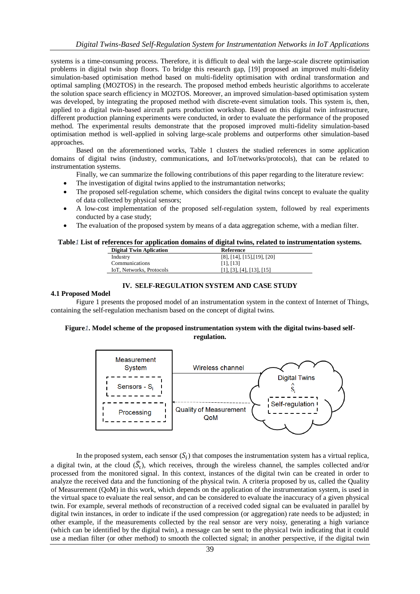systems is a time-consuming process. Therefore, it is difficult to deal with the large-scale discrete optimisation problems in digital twin shop floors. To bridge this research gap, [19] proposed an improved multi-fidelity simulation-based optimisation method based on multi-fidelity optimisation with ordinal transformation and optimal sampling (MO2TOS) in the research. The proposed method embeds heuristic algorithms to accelerate the solution space search efficiency in MO2TOS. Moreover, an improved simulation-based optimisation system was developed, by integrating the proposed method with discrete-event simulation tools. This system is, then, applied to a digital twin-based aircraft parts production workshop. Based on this digital twin infrastructure, different production planning experiments were conducted, in order to evaluate the performance of the proposed method. The experimental results demonstrate that the proposed improved multi-fidelity simulation-based optimisation method is well-applied in solving large-scale problems and outperforms other simulation-based approaches.

Based on the aforementioned works, Table 1 clusters the studied references in some application domains of digital twins (industry, communications, and IoT/networks/protocols), that can be related to instrumentation systems.

Finally, we can summarize the following contributions of this paper regarding to the literature review:

- The investigation of digital twins applied to the instrumantation networks;
- The proposed self-regulation scheme, which considers the digital twins concept to evaluate the quality of data collected by physical sensors;
- A low-cost implementation of the proposed self-regulation system, followed by real experiments conducted by a case study;
- The evaluation of the proposed system by means of a data aggregation scheme, with a median filter.

#### **Table***1* **List of references for application domains of digital twins, related to instrumentation systems.**

| <b>Digital Twin Aplication</b> | Reference                      |
|--------------------------------|--------------------------------|
| Industry                       | $[8]$ , [14], [15], [19], [20] |
| Communications                 | [11, 13]                       |
| IoT. Networks, Protocols       | $[1]$ , [3], [4], [13], [15]   |
|                                |                                |

## **IV. SELF-REGULATION SYSTEM AND CASE STUDY**

#### **4.1 Proposed Model**

Figure 1 presents the proposed model of an instrumentation system in the context of Internet of Things, containing the self-regulation mechanism based on the concept of digital twins.

# **Figure***1***. Model scheme of the proposed instrumentation system with the digital twins-based selfregulation.**



In the proposed system, each sensor  $(S_i)$  that composes the instrumentation system has a virtual replica, a digital twin, at the cloud  $(\widehat{S}_l)$ , which receives, through the wireless channel, the samples collected and/or processed from the monitored signal. In this context, instances of the digital twin can be created in order to analyze the received data and the functioning of the physical twin. A criteria proposed by us, called the Quality of Measurement (QoM) in this work, which depends on the application of the instrumentation system, is used in the virtual space to evaluate the real sensor, and can be considered to evaluate the inaccuracy of a given physical twin. For example, several methods of reconstruction of a received coded signal can be evaluated in parallel by digital twin instances, in order to indicate if the used compression (or aggregation) rate needs to be adjusted; in other example, if the measurements collected by the real sensor are very noisy, generating a high variance (which can be identified by the digital twin), a message can be sent to the physical twin indicating that it could use a median filter (or other method) to smooth the collected signal; in another perspective, if the digital twin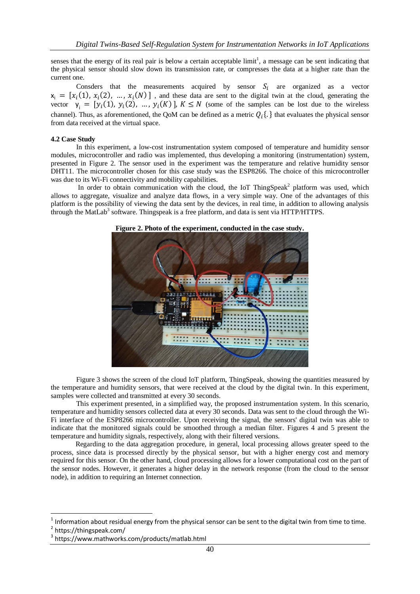senses that the energy of its real pair is below a certain acceptable  $\text{limit}^1$ , a message can be sent indicating that the physical sensor should slow down its transmission rate, or compresses the data at a higher rate than the current one.

Consders that the measurements acquired by sensor  $S_i$  are organized as a vector  $x_i = [x_i(1), x_i(2), ..., x_i(N)]$ , and these data are sent to the digital twin at the cloud, generating the vector  $y_i = [y_i(1), y_i(2), ..., y_i(K)]$ ,  $K \leq N$  (some of the samples can be lost due to the wireless channel). Thus, as aforementioned, the QoM can be defined as a metric  $Q_i$ . } that evaluates the physical sensor from data received at the virtual space.

## **4.2 Case Study**

In this experiment, a low-cost instrumentation system composed of temperature and humidity sensor modules, microcontroller and radio was implemented, thus developing a monitoring (instrumentation) system, presented in Figure 2. The sensor used in the experiment was the temperature and relative humidity sensor DHT11. The microcontroller chosen for this case study was the ESP8266. The choice of this microcontroller was due to its Wi-Fi connectivity and mobility capabilities.

In order to obtain communication with the cloud, the IoT ThingSpeak<sup>2</sup> platform was used, which allows to aggregate, visualize and analyze data flows, in a very simple way. One of the advantages of this platform is the possibility of viewing the data sent by the devices, in real time, in addition to allowing analysis through the MatLab<sup>3</sup> software. Thingspeak is a free platform, and data is sent via HTTP/HTTPS.



**Figure 2. Photo of the experiment, conducted in the case study.**

Figure 3 shows the screen of the cloud IoT platform, ThingSpeak, showing the quantities measured by the temperature and humidity sensors, that were received at the cloud by the digital twin. In this experiment, samples were collected and transmitted at every 30 seconds.

This experiment presented, in a simplified way, the proposed instrumentation system. In this scenario, temperature and humidity sensors collected data at every 30 seconds. Data was sent to the cloud through the Wi-Fi interface of the ESP8266 microcontroller. Upon receiving the signal, the sensors' digital twin was able to indicate that the monitored signals could be smoothed through a median filter. Figures 4 and 5 present the temperature and humidity signals, respectively, along with their filtered versions.

Regarding to the data aggregation procedure, in general, local processing allows greater speed to the process, since data is processed directly by the physical sensor, but with a higher energy cost and memory required for this sensor. On the other hand, cloud processing allows for a lower computational cost on the part of the sensor nodes. However, it generates a higher delay in the network response (from the cloud to the sensor node), in addition to requiring an Internet connection.

**.** 

<sup>1</sup> Information about residual energy from the physical sensor can be sent to the digital twin from time to time.

<sup>&</sup>lt;sup>2</sup> https://thingspeak.com/

<sup>3</sup> https://www.mathworks.com/products/matlab.html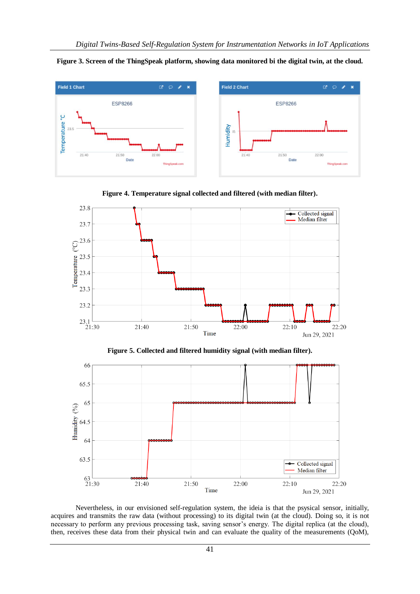





**Figure 4. Temperature signal collected and filtered (with median filter).**

**Figure 5. Collected and filtered humidity signal (with median filter).**



Nevertheless, in our envisioned self-regulation system, the ideia is that the psysical sensor, initially, acquires and transmits the raw data (without processing) to its digital twin (at the cloud). Doing so, it is not necessary to perform any previous processing task, saving sensor's energy. The digital replica (at the cloud), then, receives these data from their physical twin and can evaluate the quality of the measurements (QoM),